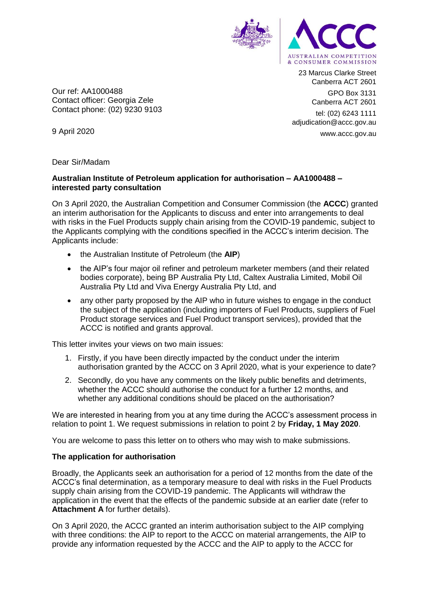

23 Marcus Clarke Street Canberra ACT 2601 GPO Box 3131 Canberra ACT 2601

tel: (02) 6243 1111 adjudication@accc.gov.au www.accc.gov.au

Our ref: AA1000488 Contact officer: Georgia Zele Contact phone: (02) 9230 9103

9 April 2020

Dear Sir/Madam

### **Australian Institute of Petroleum application for authorisation – AA1000488 – interested party consultation**

On 3 April 2020, the Australian Competition and Consumer Commission (the **ACCC**) granted an interim authorisation for the Applicants to discuss and enter into arrangements to deal with risks in the Fuel Products supply chain arising from the COVID-19 pandemic, subject to the Applicants complying with the conditions specified in the ACCC's interim decision. The Applicants include:

- the Australian Institute of Petroleum (the **AIP**)
- the AIP's four major oil refiner and petroleum marketer members (and their related bodies corporate), being BP Australia Pty Ltd, Caltex Australia Limited, Mobil Oil Australia Pty Ltd and Viva Energy Australia Pty Ltd, and
- any other party proposed by the AIP who in future wishes to engage in the conduct the subject of the application (including importers of Fuel Products, suppliers of Fuel Product storage services and Fuel Product transport services), provided that the ACCC is notified and grants approval.

This letter invites your views on two main issues:

- 1. Firstly, if you have been directly impacted by the conduct under the interim authorisation granted by the ACCC on 3 April 2020, what is your experience to date?
- 2. Secondly, do you have any comments on the likely public benefits and detriments, whether the ACCC should authorise the conduct for a further 12 months, and whether any additional conditions should be placed on the authorisation?

We are interested in hearing from you at any time during the ACCC's assessment process in relation to point 1. We request submissions in relation to point 2 by **Friday, 1 May 2020**.

You are welcome to pass this letter on to others who may wish to make submissions.

# **The application for authorisation**

Broadly, the Applicants seek an authorisation for a period of 12 months from the date of the ACCC's final determination, as a temporary measure to deal with risks in the Fuel Products supply chain arising from the COVID-19 pandemic. The Applicants will withdraw the application in the event that the effects of the pandemic subside at an earlier date (refer to **Attachment A** for further details).

On 3 April 2020, the ACCC granted an interim authorisation subject to the AIP complying with three conditions: the AIP to report to the ACCC on material arrangements, the AIP to provide any information requested by the ACCC and the AIP to apply to the ACCC for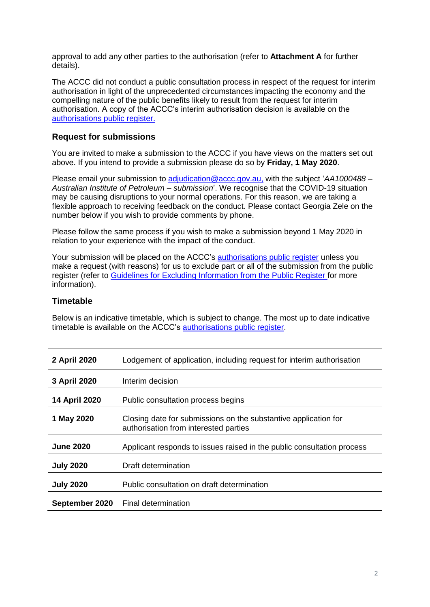approval to add any other parties to the authorisation (refer to **Attachment A** for further details).

The ACCC did not conduct a public consultation process in respect of the request for interim authorisation in light of the unprecedented circumstances impacting the economy and the compelling nature of the public benefits likely to result from the request for interim authorisation. A copy of the ACCC's interim authorisation decision is available on the [authorisations public register.](https://www.accc.gov.au/public-registers/authorisations-and-notifications-registers/authorisations-register)

# **Request for submissions**

You are invited to make a submission to the ACCC if you have views on the matters set out above. If you intend to provide a submission please do so by **Friday, 1 May 2020**.

Please email your submission to [adjudication@accc.gov.au,](mailto:adjudication@accc.gov.au) with the subject '*AA1000488 – Australian Institute of Petroleum – submission*'. We recognise that the COVID-19 situation may be causing disruptions to your normal operations. For this reason, we are taking a flexible approach to receiving feedback on the conduct. Please contact Georgia Zele on the number below if you wish to provide comments by phone.

Please follow the same process if you wish to make a submission beyond 1 May 2020 in relation to your experience with the impact of the conduct.

Your submission will be placed on the ACCC's [authorisations public register](https://www.accc.gov.au/public-registers/authorisations-and-notifications-registers/authorisations-register) unless you make a request (with reasons) for us to exclude part or all of the submission from the public register (refer to [Guidelines for Excluding Information from the Public Register](https://www.accc.gov.au/publications/guidelines-for-excluding-information-from-the-public-register-for-authorisation-and-notification-processes) for more information).

### **Timetable**

Below is an indicative timetable, which is subject to change. The most up to date indicative timetable is available on the ACCC's [authorisations public register.](https://www.accc.gov.au/public-registers/authorisations-and-notifications-registers/authorisations-register)

| 2 April 2020     | Lodgement of application, including request for interim authorisation                                    |
|------------------|----------------------------------------------------------------------------------------------------------|
| 3 April 2020     | Interim decision                                                                                         |
| 14 April 2020    | Public consultation process begins                                                                       |
| 1 May 2020       | Closing date for submissions on the substantive application for<br>authorisation from interested parties |
| <b>June 2020</b> | Applicant responds to issues raised in the public consultation process                                   |
| <b>July 2020</b> | Draft determination                                                                                      |
| <b>July 2020</b> | Public consultation on draft determination                                                               |
| September 2020   | <b>Final determination</b>                                                                               |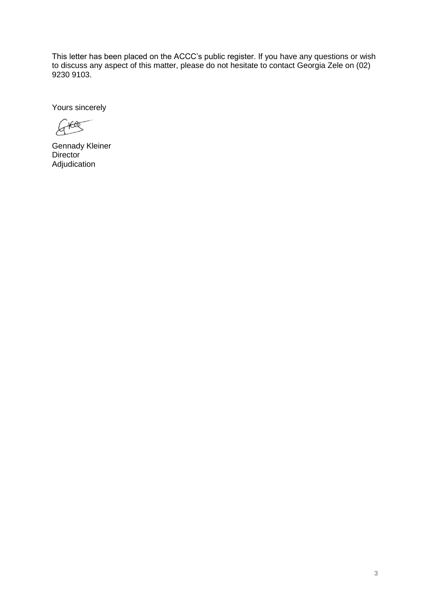This letter has been placed on the ACCC's public register. If you have any questions or wish to discuss any aspect of this matter, please do not hesitate to contact Georgia Zele on (02) 9230 9103.

Yours sincerely

 $G^{\text{Hdg}}$ 

Gennady Kleiner **Director** Adjudication